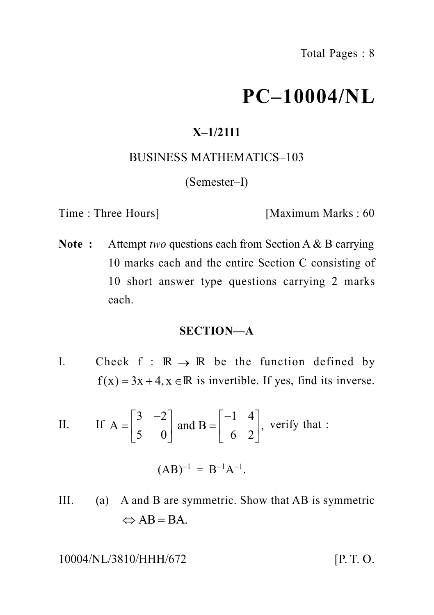# **PC–10004/NL**

# **X–1/2111**

# BUSINESS MATHEMATICS–103

(Semester–I)

Time : Three Hours] [Maximum Marks : 60

**Note :** Attempt *two* questions each from Section A & B carrying 10 marks each and the entire Section C consisting of 10 short answer type questions carrying 2 marks each. **PC-10004/NL**<br>
X-1/2111<br>
BUSINESS MATHEMATICS-103<br>
(Semester-I)<br>
Three Hours] [Maximum Marks : 60<br>
Attempt *two* questions each from Section A & B carrying<br>
10 marks each and the entire Section C consisting of<br>
10 short a **IVALUATEMATICS-103**<br>
(Semester-I)<br>
Time : Three Hours] [Maximum Marks : 60<br> **Note :** Attempt *two* questions each from Section A & B carrying<br>
10 marks each and the entire Section C consisting of<br>
10 short answer type qu **X-1/2111**<br>
BUSINESS MATHEMATICS-103<br>
(Semester-I)<br>
ce Hours] [Maximum Marks : 60<br>
Attempt *two* questions each from Section A & B carrying<br>
10 marks each and the entire Section C consisting of<br>
10 short answer type quest **X-1/2111**<br>
BUSINESS MATHEMATICS-103<br>
(Semester-I)<br>
Iours] [Maximum Marks : 60<br>
mpt *two* questions each from Section A & B carrying<br>
narks each and the entire Section C consisting of<br>
hort answer type questions carrying **X-1/2111**<br>
BUSINESS MATHEMATICS-103<br>
(Semester--1)<br>
Hours] [Maximum Marks : 60<br>
tempt *two* questions each from Section A & B carrying<br>
marks each and the entire Section C consisting of<br>
short answer type questions carry marks each and the entire Section A & B carrying<br>marks each and the entire Section C consisting of<br>short answer type questions carrying 2 marks<br>th.<br>**SECTION-A**<br>k f :  $\mathbb{R} \rightarrow \mathbb{R}$  be the function defined by<br>=3x+4, x  $\$ 

# **SECTION—A**

- I. Check  $f : \mathbb{R} \to \mathbb{R}$  be the function defined by
- If  $A = \begin{bmatrix} 3 & -2 \\ 5 & 0 \end{bmatrix}$  and  $B = \begin{bmatrix} -1 & 4 \\ 6 & 2 \end{bmatrix}$ , verify that :

$$
(AB)^{-1} = B^{-1}A^{-1}.
$$

III. (a) A and B are symmetric. Show that AB is symmetric

10004/NL/3810/HHH/672 [P. T. O.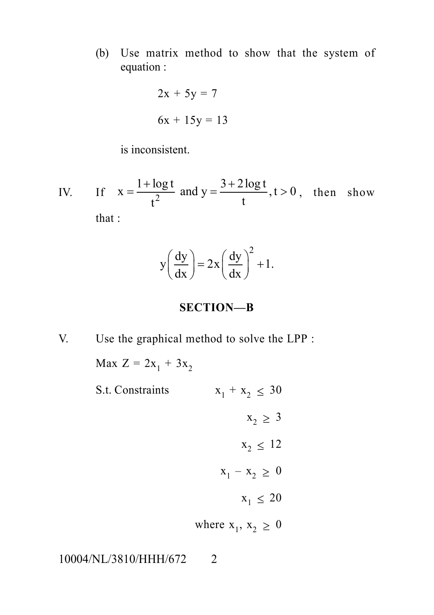(b) Use matrix method to show that the system of equation :

$$
2x + 5y = 7
$$

$$
6x + 15y = 13
$$

is inconsistent.

IV. If  $x = \frac{c}{t^2}$  and  $y = \frac{c}{t}$ ,  $t > 0$ , then s Use matrix method to show that the system of<br>equation:<br> $2x + 5y = 7$ <br> $6x + 15y = 13$ <br>is inconsistent.<br> $x = \frac{1 + \log t}{t^2}$  and  $y = \frac{3 + 2 \log t}{t}$ ,  $t > 0$ , then show<br> $\therefore$ <br> $y\left(\frac{dy}{dx}\right) = 2x\left(\frac{dy}{dx}\right)^2 + 1$ . matrix method to show that the system of<br>  $2x + 5y = 7$ <br>  $6x + 15y = 13$ <br>
consistent.<br>  $\frac{+\log t}{t^2}$  and  $y = \frac{3 + 2\log t}{t}$ ,  $t > 0$ , then show<br>  $y\left(\frac{dy}{dx}\right) = 2x\left(\frac{dy}{dx}\right)^2 + 1$ . Solven that the system of<br>
quation:<br>  $2x + 5y = 7$ <br>  $6x + 15y = 13$ <br>
inconsistent.<br>  $= \frac{1 + \log t}{t^2}$  and  $y = \frac{3 + 2 \log t}{t}$ ,  $t > 0$ , then show<br>  $y\left(\frac{dy}{dx}\right) = 2x\left(\frac{dy}{dx}\right)^2 + 1$ . that : trix method to show that the system of<br>  $2x + 5y = 7$ <br>  $5x + 15y = 13$ <br>
sistent.<br>  $\frac{1}{2}$  and  $y = \frac{3 + 2 \log t}{t}$ ,  $t > 0$ , then show<br>  $y \left(\frac{dy}{dx}\right) = 2x \left(\frac{dy}{dx}\right)^2 + 1$ .<br> **SECTION-B**<br>
hical method to solve the LPP :<br>  $+ 3x_2$ Fix method to show that the system of<br>  $x + 5y = 7$ <br>  $x + 15y = 13$ <br>
stent.<br>  $\frac{1}{x}$  and  $y = \frac{3 + 2 \log t}{t}$ ,  $t > 0$ , then show<br>  $\left(\frac{dy}{dx}\right) = 2x \left(\frac{dy}{dx}\right)^2 + 1$ .<br> **SECTION-B**<br>
cal method to solve the LPP :<br>  $+ 3x_2$ 

$$
y\left(\frac{dy}{dx}\right) = 2x\left(\frac{dy}{dx}\right)^2 + 1.
$$

# **SECTION—B**

V. Use the graphical method to solve the LPP :

Max  $Z = 2x_1 + 3x_2$ S.t. Constraints  $x_1 + x_2 \leq 30$  $x_2 > 3$  $x_2 < 12$  $x_1 - x_2 \geq 0$  $x_1 \leq 20$ where  $x_1, x_2 \geq 0$ 

10004/NL/3810/HHH/672 2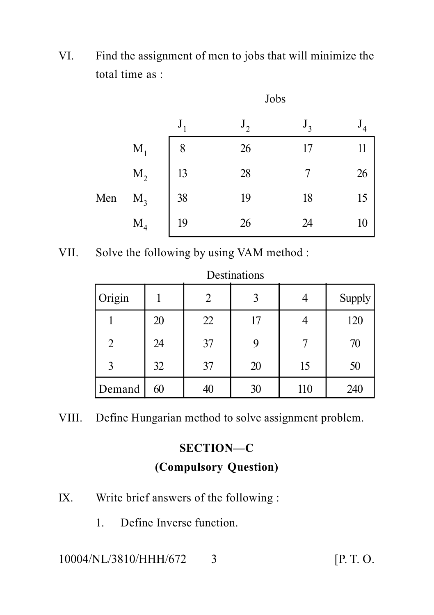VI. Find the assignment of men to jobs that will minimize the total time as :

|     |                | JUUJ    |              |                   |    |
|-----|----------------|---------|--------------|-------------------|----|
|     |                | $J_{1}$ | $J_{\gamma}$ | $J_{\mathcal{I}}$ |    |
|     | $\mathbf{M}_1$ | 8       | 26           |                   | 11 |
| Men | $M_2$          | 13      | 28           |                   | 26 |
|     | $M_3$          | 38      | 19           | 18                | 15 |
|     | $M_4$          | 19      | 26           | 24                | 10 |

Jobs

VII. Solve the following by using VAM method :

| Origin |    | 2  | 3  |     | Supply |
|--------|----|----|----|-----|--------|
|        | 20 | 22 | 17 |     | 120    |
| 2      | 24 | 37 | 9  |     | 70     |
| 3      | 32 | 37 | 20 | 15  | 50     |
| Demand | 60 | 40 | 30 | 110 | 240    |

VIII. Define Hungarian method to solve assignment problem.

# **SECTION—C (Compulsory Question)**

- IX. Write brief answers of the following :
	- 1. Define Inverse function.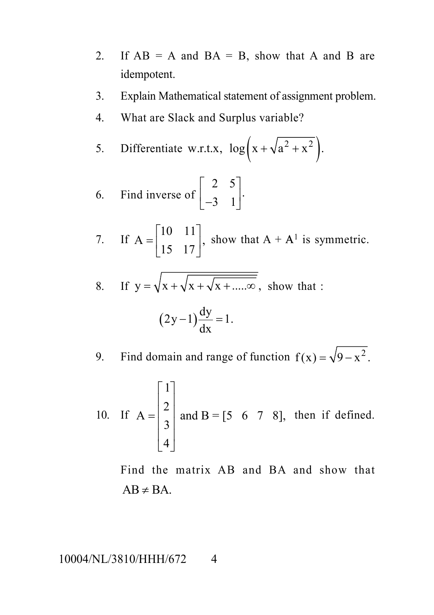- 2. If  $AB = A$  and  $BA = B$ , show that A and B are idempotent. nd BA = B, show that A and B are<br>
matical statement of assignment problem.<br>
k and Surplus variable?<br>
w.r.t.x,  $\log (x + \sqrt{a^2 + x^2})$ .<br>
of  $\begin{bmatrix} 2 & 5 \\ -3 & 1 \end{bmatrix}$ .<br>  $\begin{bmatrix} 1 \\ -3 \end{bmatrix}$ , show that A + A<sup>1</sup> is symmetric.
- 3. Explain Mathematical statement of assignment problem.
- 4. What are Slack and Surplus variable?

5. Differentiate w.r.t.x, 
$$
\log(x + \sqrt{a^2 + x^2})
$$
.

6. Find inverse of 
$$
\begin{bmatrix} 2 & 5 \ -3 & 1 \end{bmatrix}
$$

\n- 2. If AB = A and BA = B, show that A and B are idempotent.
\n- 3. Explain Mathematical statement of assignment problem.
\n- 4. What are Slack and Surplus variable?
\n- 5. Differentiate w.r.t.x, 
$$
\log(x + \sqrt{a^2 + x^2})
$$
.
\n- 6. Find inverse of  $\begin{bmatrix} 2 & 5 \\ -3 & 1 \end{bmatrix}$ .
\n- 7. If  $A = \begin{bmatrix} 10 & 11 \\ 15 & 17 \end{bmatrix}$ , show that  $A + A^1$  is symmetric.
\n- 8. If  $y = \sqrt{x + \sqrt{x + \sqrt{x + \dots \infty}}}$ , show that  $\therefore$   $(2y-1)\frac{dy}{dx} = 1$ .
\n- 9. Find domain and range of function  $f(x) = \sqrt{9-x^2}$ .
\n

8. If 
$$
y = \sqrt{x + \sqrt{x + \sqrt{x + \dots \infty}}}
$$
, show that :

$$
(2y-1)\frac{dy}{dx} = 1.
$$

9. Find domain and range of function  $f(x) = \sqrt{9-x^2}$ .

2. If AB = A and BA = B, show that A and B are  
\nidempotent.  
\n3. Explain Mathematical statement of assignment problem.  
\n4. What are Slack and Surplus variable?  
\n5. Differentiate w.r.t.x, 
$$
\log(x + \sqrt{a^2 + x^2})
$$
.  
\n6. Find inverse of  $\begin{bmatrix} 2 & 5 \\ -3 & 1 \end{bmatrix}$ .  
\n7. If A =  $\begin{bmatrix} 10 & 11 \\ 15 & 17 \end{bmatrix}$ , show that A + A<sup>1</sup> is symmetric.  
\n8. If y =  $\sqrt{x + \sqrt{x + \sqrt{x + \dots \infty}}$ , show that :  
\n $(2y-1)\frac{dy}{dx} = 1$ .  
\n9. Find domain and range of function  $f(x) = \sqrt{9-x^2}$ .  
\n10. If A =  $\begin{bmatrix} 1 \\ 2 \\ 3 \\ 4 \end{bmatrix}$  and B = [5 6 7 8], then if defined.  
\nFind the matrix AB and BA and show that  
\nAB \ne BA.  
\nNL/3810/HHH/672 4

Find the matrix AB and BA and show that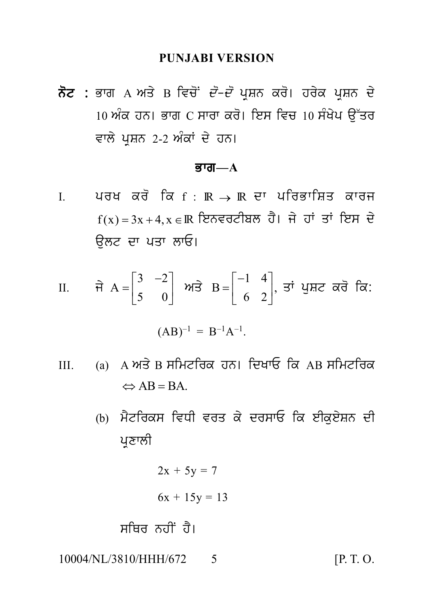### **PUNJABI VERSION**

ਨੋਟ : ਭਾਗ A ਅਤੇ B ਵਿਚੋਂ *ਦੋ–ਦੋ* ਪੁਸ਼ਨ ਕਰੋ। ਹਰੇਕ ਪੁਸ਼ਨ ਦੇ <u>।0 ਅੰਕ ਹਨ। ਭਾਗ C ਸਾਰਾ ਕਰੋ। ਇਸ ਵਿਚ 10 ਸੰਖੇਪ ਉੱਤਰ</u> ਵਾਲੇ ਪਸ਼ਨ 2-2 ਅੰਕਾਂ ਦੇ ਹਨ।

#### ਭਾਗ $-A$

ਪਰਖ ਕਰੋ ਕਿ f :  $\mathbb{R} \rightarrow \mathbb{R}$  ਦਾ ਪਰਿਭਾਸ਼ਿਤ ਕਾਰਜ  $\mathbf{I}$  $f(x) = 3x + 4, x \in \mathbb{R}$  ਇਨਵਰਟੀਬਲ ਹੈ। ਜੇ ਹਾਂ ਤਾਂ ਇਸ ਦੇ ਉਲਟ ਦਾ ਪਤਾ ਲਾਓ।

II. 
$$
\vec{\mathbf{H}} \ \mathbf{A} = \begin{bmatrix} 3 & -2 \\ 5 & 0 \end{bmatrix}
$$
  $\mathbf{M} \vec{\mathbf{S}} \ \mathbf{B} = \begin{bmatrix} -1 & 4 \\ 6 & 2 \end{bmatrix}$ ,  $\vec{\mathbf{S}} \ \mathbf{I} \ \mathbf{M} \vec{\mathbf{C}} \ \vec{\mathbf{A}} \vec{\mathbf{C}}$ .

$$
(AB)^{-1} = B^{-1}A^{-1}.
$$

- (a) A ਅਤੇ B ਸਮਿਟਰਿਕ ਹਨ। ਦਿਖਾਓ ਕਿ AB ਸਮਿਟਰਿਕ  $III.$  $\Rightarrow$  AB = BA
	- (b) ਮੈਟਰਿਕਸ ਵਿਧੀ ਵਰਤ ਕੇ ਦਰਸਾਓ ਕਿ ਈਕਏਸ਼ਨ ਦੀ ਪਣਾਲੀ

 $2x + 5y = 7$ 

 $6x + 15y = 13$ 

ਸਥਿਰ ਨਹੀਂ ਹੈ।

10004/NL/3810/HHH/672  $\overline{\mathcal{L}}$   $[P, T, O]$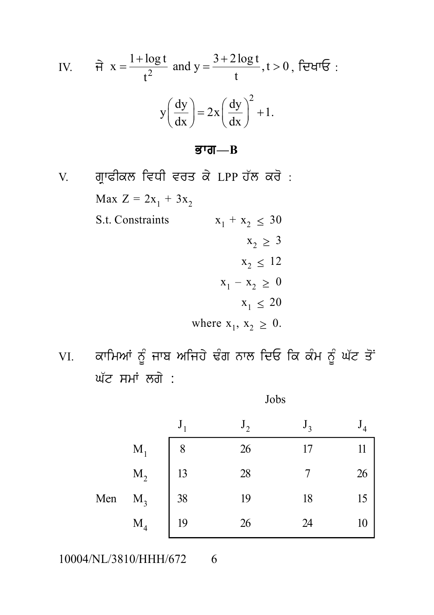IV. 
$$
\hat{\mathbf{\pi}} \times \frac{1 + \log t}{t^2}
$$
 and  $y = \frac{3 + 2 \log t}{t}, t > 0$ ,  $\hat{\mathbf{\tau}}$ :  

$$
y \left(\frac{dy}{dx}\right) = 2x \left(\frac{dy}{dx}\right)^2 + 1.
$$

### $\overline{g}$ गत $\overline{B}$

ਗ੍ਰਾਫੀਕਲ ਵਿਧੀ ਵਰਤ ਕੇ LPP ਹੱਲ ਕਰੋ :  $V_{.}$ Max  $Z = 2x_1 + 3x_2$ S.t. Constraints  $x_1 + x_2 \leq 30$  $X_2 \geq 3$  $x_2 \leq 12$  $x_1 - x_2 \geq 0$  $X_1 \leq 20$ where  $x_1, x_2 \geq 0$ .

ਕਾਮਿਆਂ ਨੂੰ ਜਾਬ ਅਜਿਹੇ ਢੰਗ ਨਾਲ ਦਿਓ ਕਿ ਕੰਮ ਨੂੰ ਘੱਟ ਤੋਂ VI. ਘੱਟ ਸਮਾਂ ਲਗੇ :

|     |                | $J_{1}$ | $J_{\gamma}$ | $J_{\rm{2}}$ |    |
|-----|----------------|---------|--------------|--------------|----|
|     | $M_1$          | 8       | 26           | 17           | 11 |
|     | $\mathbf{M}_2$ | 13      | 28           |              | 26 |
| Men | $M_3$          | 38      | 19           | 18           | 15 |
|     | M <sub>4</sub> | 19      | 26           | 24           | 10 |

Jobs

10004/NL/3810/HHH/672 6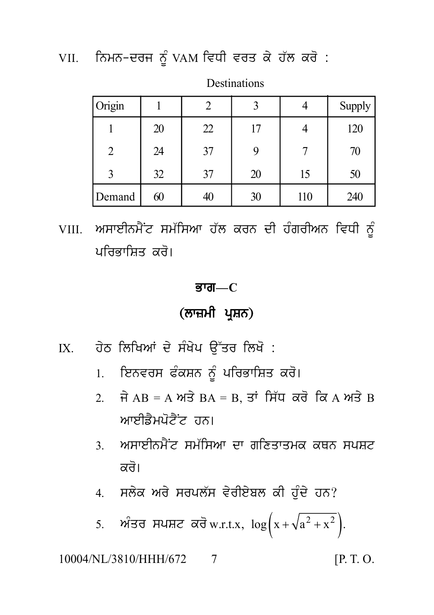VII. ਨਿਮਨ-ਦਰਜ ਨੂੰ VAM ਵਿਧੀ ਵਰਤ ਕੇ ਹੱਲ ਕਰੋ :

| Origin |    |    |    |     | Supply |
|--------|----|----|----|-----|--------|
|        | 20 | 22 | 17 |     | 120    |
| 2      | 24 | 37 | 9  |     | 70     |
|        | 32 | 37 | 20 | 15  | 50     |
| Demand | 60 | 40 | 30 | 110 | 240    |

**Destinations** 

VIII. ਅਸਾਈਨਮੈਂਟ ਸਮੱਸਿਆ ਹੱਲ ਕਰਨ ਦੀ ਹੰਗਰੀਅਨ ਵਿਧੀ ਨੂੰ ਪਰਿਕਾਸਿਤ ਕਰੋ।

# ਭਾਗ $-C$

(ਲਾਜ਼ਮੀ ਪ੍ਰਸ਼ਨ)

- ਹੇਠ ਲਿਖਿਆਂ ਦੇ ਸੰਖੇਪ ਉੱਤਰ ਲਿਖੋ :  $IX$ 
	- 1. ਇਨਵਰਸ ਫੰਕਸ਼ਨ ਨੂੰ ਪਰਿਭਾਸ਼ਿਤ ਕਰੋ।
	- 2. ਜੇ AB = A ਅਤੇ BA = B, ਤਾਂ ਸਿੱਧ ਕਰੋ ਕਿ A ਅਤੇ B ਆਈਡੈਮਪੋਟੈਂਟ ਹਨ।
	- <u>3 ਅਸਾਈਨਮੈਂਟ ਸਮੱਸਿਆ ਦਾ ਗਣਿਤਾਤਮਕ ਕਥਨ ਸਪਸਟ</u> ਕਰੋ।
	- 4. ਸਲੇਕ ਅਰੇ ਸਰਪਲੱਸ ਵੇਰੀਏਬਲ ਕੀ ਹੰਦੇ ਹਨ?